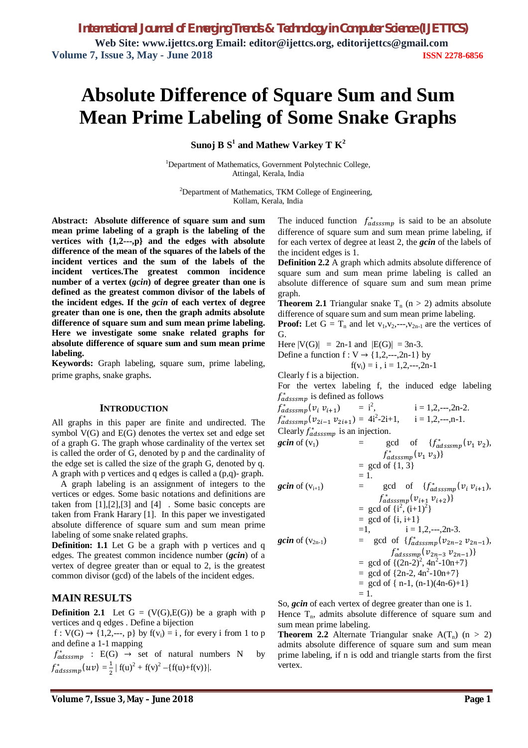# **Absolute Difference of Square Sum and Sum Mean Prime Labeling of Some Snake Graphs**

 $\mathbf{S}$ unoj  $\mathbf{B} \; \mathbf{S}^1$  and Mathew Varkey T  $\mathbf{K}^2$ 

<sup>1</sup>Department of Mathematics, Government Polytechnic College, Attingal, Kerala, India

<sup>2</sup>Department of Mathematics, TKM College of Engineering, Kollam, Kerala, India

**Abstract:****Absolute difference of square sum and sum mean prime labeling of a graph is the labeling of the vertices with {1,2---,p} and the edges with absolute difference of the mean of the squares of the labels of the incident vertices and the sum of the labels of the incident vertices.The greatest common incidence number of a vertex (***gcin***) of degree greater than one is defined as the greatest common divisor of the labels of the incident edges. If the** *gcin* **of each vertex of degree greater than one is one, then the graph admits absolute difference of square sum and sum mean prime labeling. Here we investigate some snake related graphs for absolute difference of square sum and sum mean prime labeling.**

**Keywords:** Graph labeling, square sum, prime labeling, prime graphs, snake graphs.

#### **INTRODUCTION**

All graphs in this paper are finite and undirected. The symbol V(G) and E(G) denotes the vertex set and edge set of a graph G. The graph whose cardinality of the vertex set is called the order of G, denoted by p and the cardinality of the edge set is called the size of the graph G, denoted by q. A graph with p vertices and q edges is called a (p,q)- graph.

A graph labeling is an assignment of integers to the vertices or edges. Some basic notations and definitions are taken from [1],[2],[3] and [4] . Some basic concepts are taken from Frank Harary [1]. In this paper we investigated absolute difference of square sum and sum mean prime labeling of some snake related graphs.

**Definition: 1.1** Let G be a graph with p vertices and q edges. The greatest common incidence number (*gcin*) of a vertex of degree greater than or equal to 2, is the greatest common divisor (gcd) of the labels of the incident edges.

### **MAIN RESULTS**

**Definition 2.1** Let  $G = (V(G), E(G))$  be a graph with p vertices and q edges . Define a bijection

 $f: V(G) \rightarrow \{1, 2, \dots, p\}$  by  $f(v_i) = i$ , for every i from 1 to p and define a 1-1 mapping

 $f_{adsssmp}^*$  : E(G)  $\rightarrow$  set of natural numbers N by  $f^*_{adsssmp}(uv) = \frac{1}{2}$  $\frac{1}{2} | f(u)^2 + f(v)^2 - \{f(u) + f(v)\}|.$ 

The induced function  $f_{adassmp}^*$  is said to be an absolute difference of square sum and sum mean prime labeling, if for each vertex of degree at least 2, the *gcin* of the labels of the incident edges is 1.

**Definition 2.2** A graph which admits absolute difference of square sum and sum mean prime labeling is called an absolute difference of square sum and sum mean prime graph.

**Theorem 2.1** Triangular snake  $T_n$  (n > 2) admits absolute difference of square sum and sum mean prime labeling.

**Proof:** Let  $G = T_n$  and let  $v_1, v_2, \dots, v_{2n-1}$  are the vertices of G.

Here 
$$
|V(G)| = 2n-1
$$
 and  $|E(G)| = 3n-3$ .

Define a function 
$$
f: V \to \{1, 2, \dots, 2n-1\}
$$
 by  $f(v_i) = i$ ,  $i = 1, 2, \dots, 2n-1$ 

Clearly f is a bijection.

For the vertex labeling f, the induced edge labeling  $f_{adsssmp}^*$  is defined as follows

$$
f_{adsssmp}^{*}(v_i v_{i+1}) = i^2, \t i = 1, 2, \t -2, n-2.
$$
  
\n
$$
f_{adsssmp}^{*}(v_{2i-1} v_{2i+1}) = 4i^2-2i+1, \t i = 1, 2, \t -2, n-1.
$$
  
\nClearly  $f_{adsssmp}$  is an injection.  
\n
$$
gcin \text{ of } (v_1) = gcd \text{ of } \{f_{adsssmp}^{*}(v_1 v_2), f_{adsssmp}^{*}(v_1 v_3)\}
$$
\n
$$
= gcd \text{ of } \{1, 3\}
$$
\n
$$
= 1.
$$
  
\n
$$
gcin \text{ of } (v_{i+1}) = gcd \text{ of } \{f_{adsssmp}^{*}(v_i v_{i+1}), f_{adsssmp}^{*}(v_i v_{i+1})\}
$$
\n
$$
= gcd \text{ of } \{i^2, (i+1)^2\}
$$
\n
$$
= gcd \text{ of } \{i, i+1\}
$$
\n
$$
= 1, \t i = 1, 2, \t -2, 2n-3.
$$
  
\n
$$
gcin \text{ of } (v_{2n-1}) = gcd \text{ of } \{f_{adsssmp}^{*}(v_{2n-2} v_{2n-1}), f_{adsssmp}^{*}(v_{2n-3} v_{2n-1})\}
$$
\n
$$
= gcd \text{ of } \{2n-2, 4n^2-10n+7\}
$$
\n
$$
= gcd \text{ of } \{2n-2, 4n^2-10n+7\}
$$
\n
$$
= gcd \text{ of } \{n-1, (n-1)(4n-6)+1\}
$$
\n
$$
= 1.
$$
  
\nSo *scin* of each vertex of degree greater than one is 1

So, *gcin* of each vertex of degree greater than one is 1. Hence  $T_n$ , admits absolute difference of square sum and sum mean prime labeling.

**Theorem 2.2** Alternate Triangular snake  $A(T_n)$  (n > 2) admits absolute difference of square sum and sum mean prime labeling, if n is odd and triangle starts from the first vertex.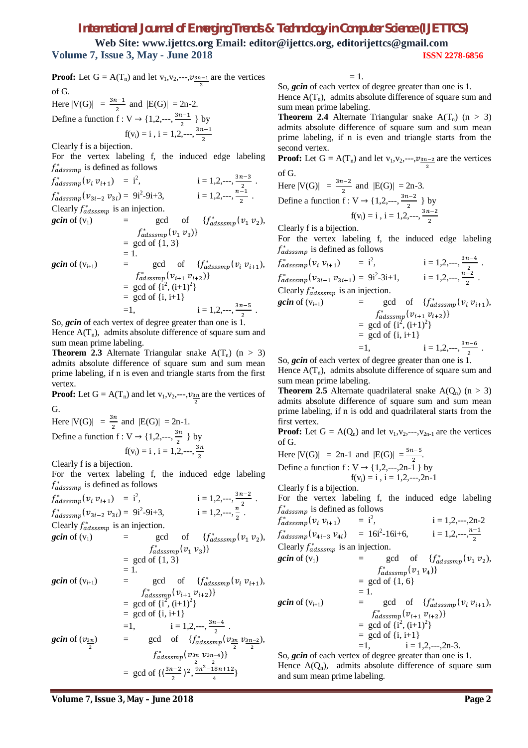## *International Journal of Emerging Trends & Technology in Computer Science (IJETTCS)*

**Web Site: www.ijettcs.org Email: editor@ijettcs.org, editorijettcs@gmail.com Volume 7, Issue 3, May - June 2018 ISSN 2278-6856**

**Proof:** Let  $G = A(T_n)$  and let  $v_1, v_2, \dots, v_{\frac{3n-1}{2}}$  are the vertices of G.

Here  $|V(G)| = \frac{3n-1}{2}$  and  $|E(G)| = 2n-2$ . Define a function  $f: V \rightarrow \{1, 2, \dots, \frac{3n-1}{2}\}$  $\frac{1}{2}$  } by  $f(v_i) = i$ ,  $i = 1, 2, \dots, \frac{3n-1}{2}$ 

Clearly f is a bijection.

For the vertex labeling f, the induced edge labeling  $f_{adsssmp}^*$  is defined as follows

ଶ

 $f_{adsssmp}^*(v_i v_{i+1}) = i^2$  $i = 1, 2, \dots, \frac{3n-3}{2}$  $\frac{1}{2}$ .  $f^*_{adsssmp}(\nu_{3i-2} \nu_{3i}) = 9i^2$  $-9i+3$ ,  $i = 1, 2, \dots, \frac{n-1}{2}$  $\frac{-1}{2}$ .

Clearly  $f_{adsssmp}^*$  is an injection.

$$
gcin of (v1) = gcd of {fadassamp*(v1 v2),\nfadassamp*(v1 v3)}\n= gcd of {1, 3}\n= 1.\ngcin of (vi+1) = gcd of {fadassamp*(vi vi+1),\nfadassamp*(vi+1 vi+2)}\n= gcd of {i2, (i+1)2}\n= gcd of {i, i+1}\n= 1, i = 1,2,...,  $\frac{3n-5}{2}$ .
$$

So, *gcin* of each vertex of degree greater than one is 1. Hence  $A(T_n)$ , admits absolute difference of square sum and sum mean prime labeling.

**Theorem 2.3** Alternate Triangular snake  $A(T_n)$  (n > 3) admits absolute difference of square sum and sum mean prime labeling, if n is even and triangle starts from the first vertex.

**Proof:** Let  $G = A(T_n)$  and let  $v_1, v_2, \dots, v_{\frac{3n}{2}}$  are the vertices of G.

Here  $|V(G)| = \frac{3n}{2}$  and  $|E(G)| = 2n-1$ . Define a function  $f: V \rightarrow \{1, 2, \dots, \frac{3n}{2}\}$  $\frac{3\pi}{2}$  } by  $f(v_i) = i$ ,  $i = 1, 2, \dots, \frac{3n}{2}$ 2

Clearly f is a bijection.

For the vertex labeling f, the induced edge labeling  $f_{adsssmp}^*$  is defined as follows

$$
f_{adsssmp}^{*}(v_{i} v_{i+1}) = i^{2}, \qquad i = 1, 2, \dots, \frac{3n-2}{2}.
$$
  
\n
$$
f_{adasssmp}^{*}(v_{3i-2} v_{3i}) = 9i^{2}-9i+3, \qquad i = 1, 2, \dots, \frac{n}{2}.
$$
  
\nClearly  $f_{adasssmp}^{*}$  is an injection.  
\n
$$
gcin \text{ of } (v_{1}) = gcd \text{ of } \{f_{adasssmp}^{*}(v_{1} v_{2}), f_{adassmp}^{*}(v_{1} v_{3})\}
$$
\n
$$
= gcd \text{ of } \{1, 3\}
$$
\n
$$
= 1.
$$
  
\n
$$
gcin \text{ of } (v_{i+1}) = gcd \text{ of } \{f_{adsssmp}^{*}(v_{i} v_{i+1}), f_{adassmp}^{*}(v_{i} v_{i+2})\}
$$
\n
$$
= gcd \text{ of } \{i, i+1\}
$$
\n
$$
= 1, \qquad i = 1, 2, \dots, \frac{3n-4}{2}.
$$
  
\n
$$
gcin \text{ of } (v_{\frac{3n}{2}}) = gcd \text{ of } \{f_{adsssmp}^{*}(v_{\frac{3n}{2}} v_{\frac{3n-2}{2}}), f_{adsssmp}^{*}(v_{\frac{3n}{2}} v_{\frac{3n-4}{2}})\}
$$
\n
$$
= gcd \text{ of } \{(\frac{3n-2}{2})^{2}, \frac{9n^{2}-18n+12}{4}\}
$$

 $= 1.$ 

So, *gcin* of each vertex of degree greater than one is 1. Hence  $A(T_n)$ , admits absolute difference of square sum and sum mean prime labeling.

**Theorem 2.4** Alternate Triangular snake  $A(T_n)$  (n > 3) admits absolute difference of square sum and sum mean prime labeling, if n is even and triangle starts from the second vertex.

**Proof:** Let  $G = A(T_n)$  and let  $v_1, v_2, \dots, v_{\frac{3n-2}{2}}$  are the vertices of G.

Here 
$$
|V(G)| = \frac{3n-2}{2}
$$
 and  $|E(G)| = 2n-3$ .  
Define a function  $f: V \to \{1, 2, \dots, \frac{3n-2}{2}\}$  by

$$
f(v_i) = i
$$
,  $i = 1, 2, \dots, \frac{3n-2}{2}$ 

Clearly f is a bijection.

For the vertex labeling f, the induced edge labeling  $f_{adsssmp}^*$  is defined as follows

$$
f_{adasssmp}^{*}(v_i v_{i+1}) = i^2, \t i = 1, 2, \t ..., \t \frac{3n-4}{2}.
$$
  
\n
$$
f_{adasssmp}^{*}(v_{3i-1} v_{3i+1}) = 9i^2 - 3i + 1, \t i = 1, 2, \t ..., \t \frac{n-2}{2}.
$$
  
\nClearly  $f_{adasssmp}^{*}$  is an injection.

$$
\begin{array}{lll}\n\text{gcin of (v_{i+1})} & = & \text{gcd of} & \{f_{adsssmp}^*(v_i \, v_{i+1}), \\
& f_{adsssmp}^*(v_{i+1} \, v_{i+2})\} \\
& = & \text{gcd of } \{i^2, (i+1)^2\} \\
& = & \text{gcd of } \{i, i+1\} \\
& = & 1, \qquad \qquad i = 1, 2, \dots, \frac{3n-6}{2} \, .\n\end{array}
$$

So, *gcin* of each vertex of degree greater than one is 1.

Hence  $A(T_n)$ , admits absolute difference of square sum and sum mean prime labeling.

**Theorem 2.5** Alternate quadrilateral snake  $A(Q_n)$  (n > 3) admits absolute difference of square sum and sum mean prime labeling, if n is odd and quadrilateral starts from the first vertex.

**Proof:** Let  $G = A(Q_n)$  and let  $v_1, v_2, \dots, v_{2n-1}$  are the vertices of G.

Here  $|V(G)| = 2n-1$  and  $|E(G)| = \frac{5n-5}{2}$ . Define a function  $f: V \rightarrow \{1, 2, \dots, 2n-1\}$  by  $f(v_i) = i$ ,  $i = 1, 2, \dots, 2n-1$ 

Clearly f is a bijection.

For the vertex labeling f, the induced edge labeling  $f_{adsssmp}^*$  is defined as follows

$$
f_{adsssmp}^{*}(v_{i} v_{i+1}) = i^{2}, \t i = 1, 2, \t ..., 2n-2
$$
  
\n
$$
f_{adsssmp}^{*}(v_{4i-3} v_{4i}) = 16i^{2} - 16i + 6, \t i = 1, 2, \t ..., \t \frac{n-1}{2}
$$
  
\nClearly  $f_{adsssmp}^{*}$  is an injection.  
\n
$$
gcin \text{ of } (v_{1}) = gcd \text{ of } \{f_{adsssmp}^{*}(v_{1} v_{2}), f_{adsssmp}^{*}(v_{1} v_{4})\}
$$
  
\n
$$
= gcd \text{ of } \{1, 6\}
$$
  
\n
$$
gcin \text{ of } (v_{i+1}) = gcd \text{ of } \{f_{adsssmp}^{*}(v_{i} v_{i+1}), f_{adsssmp}^{*}(v_{i+1} v_{i+2})\}
$$
  
\n
$$
= gcd \text{ of } \{i^{2}, (i+1)^{2}\}
$$
  
\n
$$
= gcd \text{ of } \{i, i+1\}
$$
  
\n
$$
= 1, \t i = 1, 2, \t ..., 2n-3.
$$
  
\nSo, *scin* of *scch* vertex of *decens* graph then is 1

So, *gcin* of each vertex of degree greater than one is 1. Hence  $A(Q_n)$ , admits absolute difference of square sum and sum mean prime labeling.

**Volume 7, Issue 3, May – June 2018 Page 2**